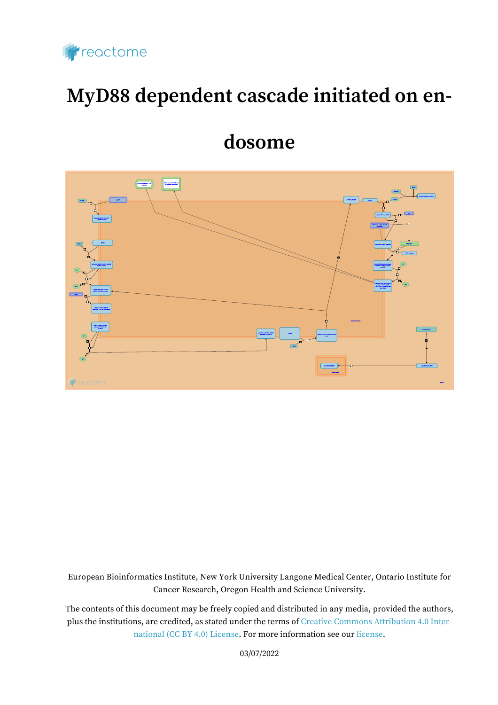

# **MyD88 dependent cascade initiated on en-**

## **dosome**



European Bioinformatics Institute, New York University Langone Medical Center, Ontario Institute for Cancer Research, Oregon Health and Science University.

The contents of this document may be freely copied and distributed in any media, provided the authors, plus the institutions, are credited, as stated under the terms of [Creative Commons Attribution 4.0 Inter](https://creativecommons.org/licenses/by/4.0/)[national \(CC BY 4.0\) License](https://creativecommons.org/licenses/by/4.0/). For more information see our [license](https://reactome.org/license).

03/07/2022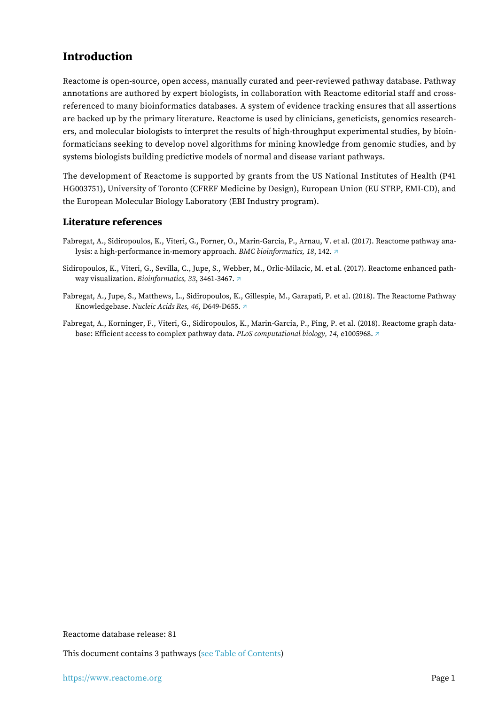## <span id="page-1-0"></span>**Introduction**

Reactome is open-source, open access, manually curated and peer-reviewed pathway database. Pathway annotations are authored by expert biologists, in collaboration with Reactome editorial staff and crossreferenced to many bioinformatics databases. A system of evidence tracking ensures that all assertions are backed up by the primary literature. Reactome is used by clinicians, geneticists, genomics researchers, and molecular biologists to interpret the results of high-throughput experimental studies, by bioinformaticians seeking to develop novel algorithms for mining knowledge from genomic studies, and by systems biologists building predictive models of normal and disease variant pathways.

The development of Reactome is supported by grants from the US National Institutes of Health (P41 HG003751), University of Toronto (CFREF Medicine by Design), European Union (EU STRP, EMI-CD), and the European Molecular Biology Laboratory (EBI Industry program).

#### **Literature references**

- Fabregat, A., Sidiropoulos, K., Viteri, G., Forner, O., Marin-Garcia, P., Arnau, V. et al. (2017). Reactome pathway analysis: a high-performance in-memory approach. *BMC bioinformatics, 18*, 142. [↗](http://www.ncbi.nlm.nih.gov/pubmed/28249561)
- Sidiropoulos, K., Viteri, G., Sevilla, C., Jupe, S., Webber, M., Orlic-Milacic, M. et al. (2017). Reactome enhanced pathway visualization. *Bioinformatics, 33*, 3461-3467. [↗](http://www.ncbi.nlm.nih.gov/pubmed/29077811)
- Fabregat, A., Jupe, S., Matthews, L., Sidiropoulos, K., Gillespie, M., Garapati, P. et al. (2018). The Reactome Pathway Knowledgebase. *Nucleic Acids Res, 46*, D649-D655. [↗](http://www.ncbi.nlm.nih.gov/pubmed/29145629)
- Fabregat, A., Korninger, F., Viteri, G., Sidiropoulos, K., Marin-Garcia, P., Ping, P. et al. (2018). Reactome graph database: Efficient access to complex pathway data. *PLoS computational biology, 14*, e1005968. [↗](http://www.ncbi.nlm.nih.gov/pubmed/29377902)

Reactome database release: 81

This document contains 3 pathways [\(see Table of Contents\)](#page-5-0)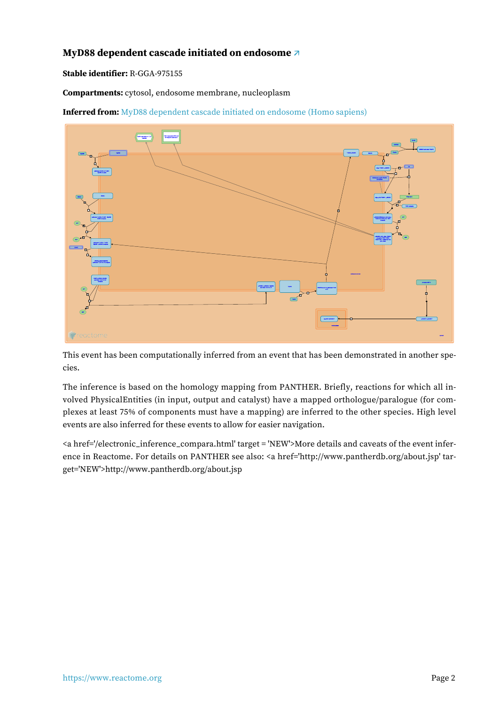### <span id="page-2-0"></span>**MyD88 dependent cascade initiated on endosome [↗](https://www.reactome.org/content/detail/R-GGA-975155)**

**Stable identifier:** R-GGA-975155

**Compartments:** cytosol, endosome membrane, nucleoplasm

**Inferred from:** [MyD88 dependent cascade initiated on endosome \(Homo sapiens\)](https://www.reactome.org/content/detail/R-HSA-975155)



This event has been computationally inferred from an event that has been demonstrated in another species.

The inference is based on the homology mapping from PANTHER. Briefly, reactions for which all involved PhysicalEntities (in input, output and catalyst) have a mapped orthologue/paralogue (for complexes at least 75% of components must have a mapping) are inferred to the other species. High level events are also inferred for these events to allow for easier navigation.

<a href='/electronic\_inference\_compara.html' target = 'NEW'>More details and caveats of the event inference in Reactome. For details on PANTHER see also: <a href='http://www.pantherdb.org/about.jsp' target='NEW'>http://www.pantherdb.org/about.jsp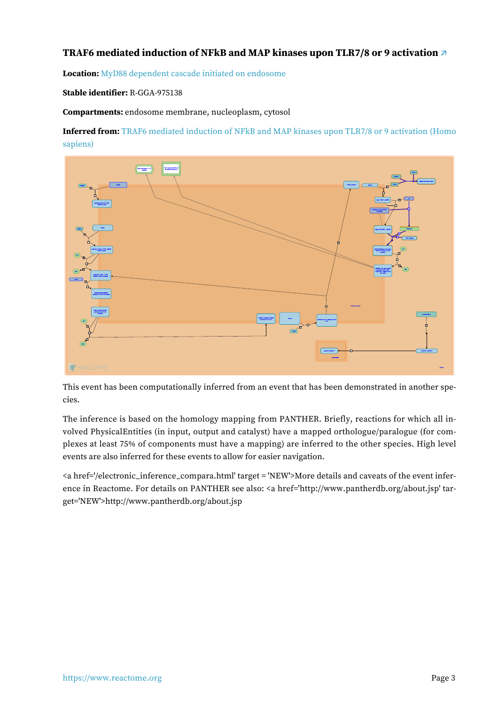### <span id="page-3-0"></span>**TRAF6 mediated induction of NFkB and MAP kinases upon TLR7/8 or 9 activation [↗](https://www.reactome.org/content/detail/R-GGA-975138)**

**Location:** [MyD88 dependent cascade initiated on endosome](#page-2-0)

#### **Stable identifier:** R-GGA-975138

**Compartments:** endosome membrane, nucleoplasm, cytosol

**Inferred from:** TRAF6 mediated induction of NFkB and MAP kinases upon TLR7/8 or 9 [activation](https://www.reactome.org/content/detail/R-HSA-975138) (Homo [sapiens\)](https://www.reactome.org/content/detail/R-HSA-975138)



This event has been computationally inferred from an event that has been demonstrated in another species.

The inference is based on the homology mapping from PANTHER. Briefly, reactions for which all involved PhysicalEntities (in input, output and catalyst) have a mapped orthologue/paralogue (for complexes at least 75% of components must have a mapping) are inferred to the other species. High level events are also inferred for these events to allow for easier navigation.

<a href='/electronic\_inference\_compara.html' target = 'NEW'>More details and caveats of the event inference in Reactome. For details on PANTHER see also: <a href='http://www.pantherdb.org/about.jsp' target='NEW'>http://www.pantherdb.org/about.jsp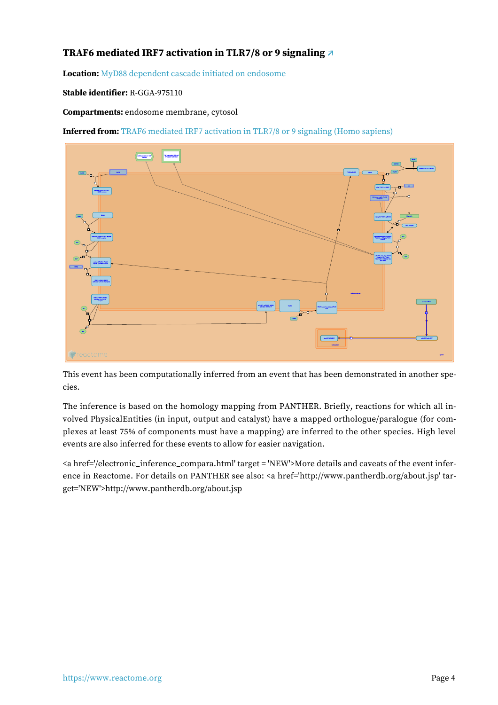## <span id="page-4-0"></span>**TRAF6 mediated IRF7 activation in TLR7/8 or 9 signaling [↗](https://www.reactome.org/content/detail/R-GGA-975110)**

**Location:** [MyD88 dependent cascade initiated on endosome](#page-2-0)

#### **Stable identifier:** R-GGA-975110

#### **Compartments:** endosome membrane, cytosol

**Inferred from:** [TRAF6 mediated IRF7 activation in TLR7/8 or 9 signaling \(Homo sapiens\)](https://www.reactome.org/content/detail/R-HSA-975110)



This event has been computationally inferred from an event that has been demonstrated in another species.

The inference is based on the homology mapping from PANTHER. Briefly, reactions for which all involved PhysicalEntities (in input, output and catalyst) have a mapped orthologue/paralogue (for complexes at least 75% of components must have a mapping) are inferred to the other species. High level events are also inferred for these events to allow for easier navigation.

<a href='/electronic\_inference\_compara.html' target = 'NEW'>More details and caveats of the event inference in Reactome. For details on PANTHER see also: <a href='http://www.pantherdb.org/about.jsp' target='NEW'>http://www.pantherdb.org/about.jsp